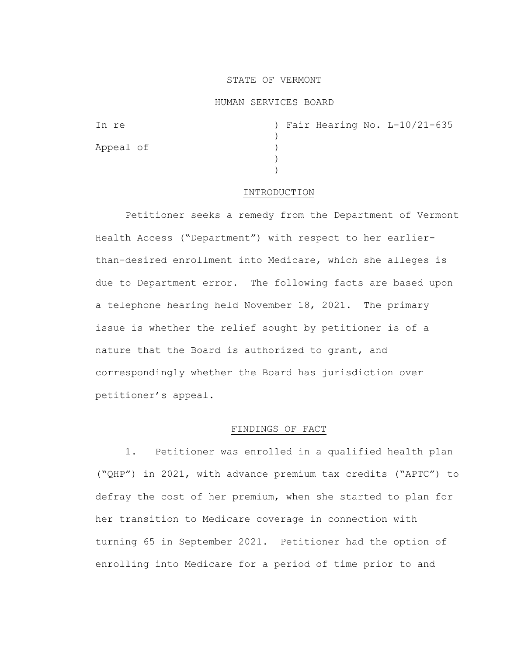### STATE OF VERMONT

### HUMAN SERVICES BOARD

| In re     |  |  | ) Fair Hearing No. L-10/21-635 |
|-----------|--|--|--------------------------------|
|           |  |  |                                |
| Appeal of |  |  |                                |
|           |  |  |                                |
|           |  |  |                                |

#### INTRODUCTION

Petitioner seeks a remedy from the Department of Vermont Health Access ("Department") with respect to her earlierthan-desired enrollment into Medicare, which she alleges is due to Department error. The following facts are based upon a telephone hearing held November 18, 2021. The primary issue is whether the relief sought by petitioner is of a nature that the Board is authorized to grant, and correspondingly whether the Board has jurisdiction over petitioner's appeal.

# FINDINGS OF FACT

1. Petitioner was enrolled in a qualified health plan ("QHP") in 2021, with advance premium tax credits ("APTC") to defray the cost of her premium, when she started to plan for her transition to Medicare coverage in connection with turning 65 in September 2021. Petitioner had the option of enrolling into Medicare for a period of time prior to and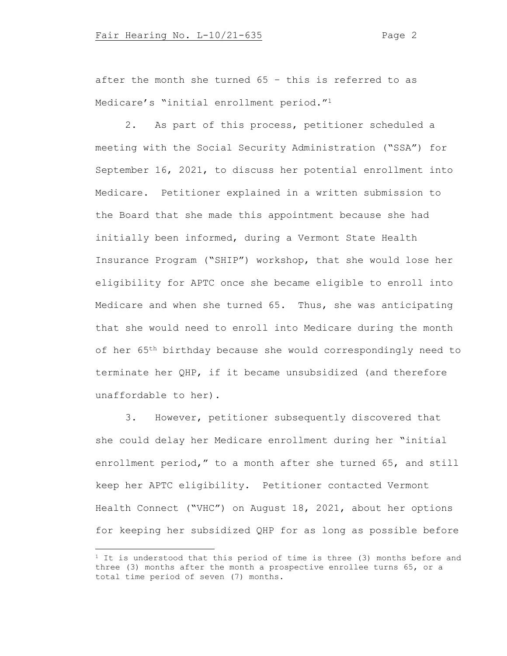after the month she turned 65 – this is referred to as Medicare's "initial enrollment period."<sup>1</sup>

2. As part of this process, petitioner scheduled a meeting with the Social Security Administration ("SSA") for September 16, 2021, to discuss her potential enrollment into Medicare. Petitioner explained in a written submission to the Board that she made this appointment because she had initially been informed, during a Vermont State Health Insurance Program ("SHIP") workshop, that she would lose her eligibility for APTC once she became eligible to enroll into Medicare and when she turned 65. Thus, she was anticipating that she would need to enroll into Medicare during the month of her 65<sup>th</sup> birthday because she would correspondingly need to terminate her QHP, if it became unsubsidized (and therefore unaffordable to her).

3. However, petitioner subsequently discovered that she could delay her Medicare enrollment during her "initial enrollment period," to a month after she turned 65, and still keep her APTC eligibility. Petitioner contacted Vermont Health Connect ("VHC") on August 18, 2021, about her options for keeping her subsidized QHP for as long as possible before

 $1$  It is understood that this period of time is three (3) months before and three (3) months after the month a prospective enrollee turns 65, or a total time period of seven (7) months.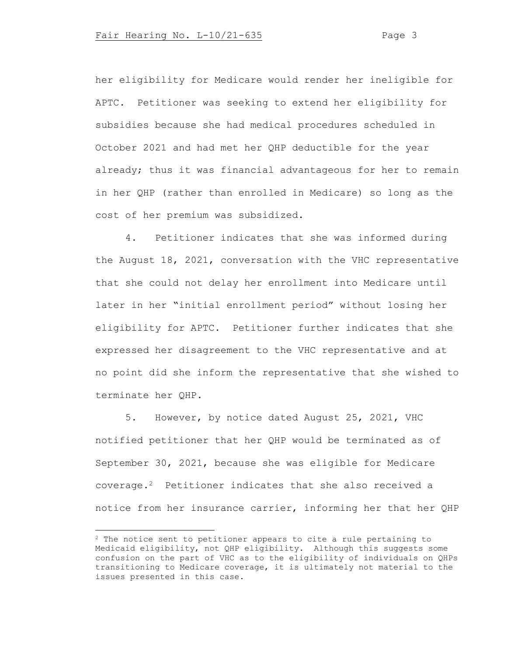her eligibility for Medicare would render her ineligible for APTC. Petitioner was seeking to extend her eligibility for subsidies because she had medical procedures scheduled in October 2021 and had met her QHP deductible for the year already; thus it was financial advantageous for her to remain in her QHP (rather than enrolled in Medicare) so long as the cost of her premium was subsidized.

4. Petitioner indicates that she was informed during the August 18, 2021, conversation with the VHC representative that she could not delay her enrollment into Medicare until later in her "initial enrollment period" without losing her eligibility for APTC. Petitioner further indicates that she expressed her disagreement to the VHC representative and at no point did she inform the representative that she wished to terminate her QHP.

5. However, by notice dated August 25, 2021, VHC notified petitioner that her QHP would be terminated as of September 30, 2021, because she was eligible for Medicare coverage.<sup>2</sup> Petitioner indicates that she also received a notice from her insurance carrier, informing her that her QHP

<sup>2</sup> The notice sent to petitioner appears to cite a rule pertaining to Medicaid eligibility, not QHP eligibility. Although this suggests some confusion on the part of VHC as to the eligibility of individuals on QHPs transitioning to Medicare coverage, it is ultimately not material to the issues presented in this case.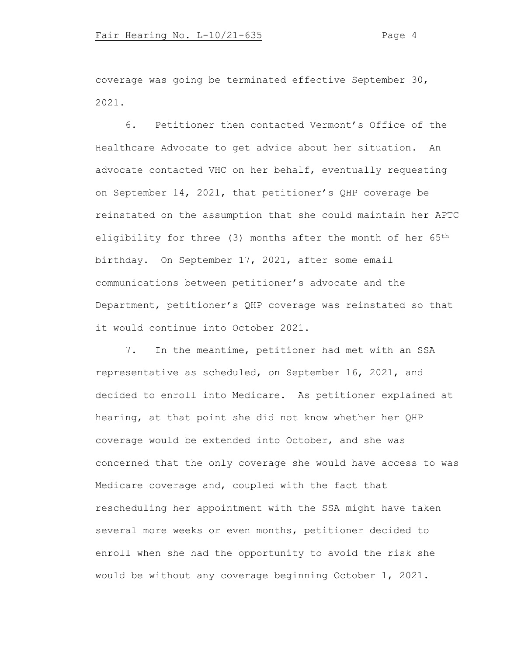coverage was going be terminated effective September 30, 2021.

6. Petitioner then contacted Vermont's Office of the Healthcare Advocate to get advice about her situation. An advocate contacted VHC on her behalf, eventually requesting on September 14, 2021, that petitioner's QHP coverage be reinstated on the assumption that she could maintain her APTC eligibility for three (3) months after the month of her 65<sup>th</sup> birthday. On September 17, 2021, after some email communications between petitioner's advocate and the Department, petitioner's QHP coverage was reinstated so that it would continue into October 2021.

7. In the meantime, petitioner had met with an SSA representative as scheduled, on September 16, 2021, and decided to enroll into Medicare. As petitioner explained at hearing, at that point she did not know whether her QHP coverage would be extended into October, and she was concerned that the only coverage she would have access to was Medicare coverage and, coupled with the fact that rescheduling her appointment with the SSA might have taken several more weeks or even months, petitioner decided to enroll when she had the opportunity to avoid the risk she would be without any coverage beginning October 1, 2021.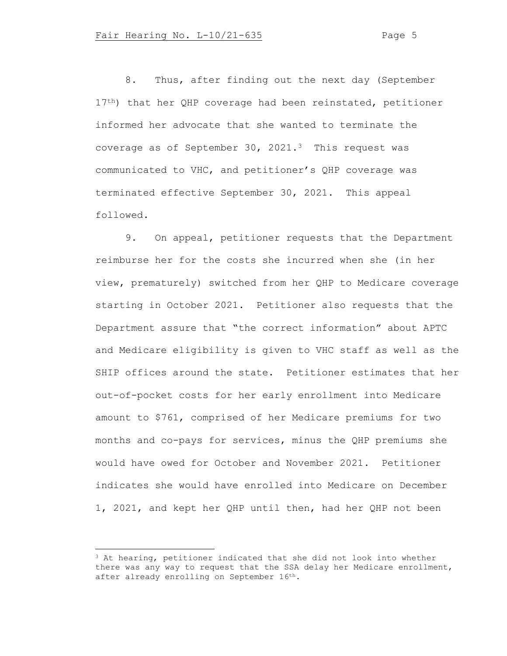8. Thus, after finding out the next day (September 17<sup>th</sup>) that her QHP coverage had been reinstated, petitioner informed her advocate that she wanted to terminate the coverage as of September 30, 2021.<sup>3</sup> This request was communicated to VHC, and petitioner's QHP coverage was terminated effective September 30, 2021. This appeal followed.

9. On appeal, petitioner requests that the Department reimburse her for the costs she incurred when she (in her view, prematurely) switched from her QHP to Medicare coverage starting in October 2021. Petitioner also requests that the Department assure that "the correct information" about APTC and Medicare eligibility is given to VHC staff as well as the SHIP offices around the state. Petitioner estimates that her out-of-pocket costs for her early enrollment into Medicare amount to \$761, comprised of her Medicare premiums for two months and co-pays for services, minus the QHP premiums she would have owed for October and November 2021. Petitioner indicates she would have enrolled into Medicare on December 1, 2021, and kept her QHP until then, had her QHP not been

<sup>&</sup>lt;sup>3</sup> At hearing, petitioner indicated that she did not look into whether there was any way to request that the SSA delay her Medicare enrollment, after already enrolling on September 16th.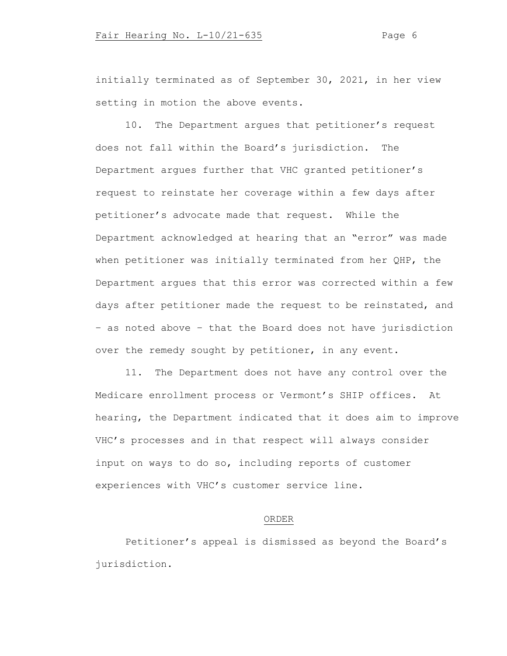initially terminated as of September 30, 2021, in her view setting in motion the above events.

10. The Department argues that petitioner's request does not fall within the Board's jurisdiction. The Department argues further that VHC granted petitioner's request to reinstate her coverage within a few days after petitioner's advocate made that request. While the Department acknowledged at hearing that an "error" was made when petitioner was initially terminated from her QHP, the Department argues that this error was corrected within a few days after petitioner made the request to be reinstated, and – as noted above – that the Board does not have jurisdiction over the remedy sought by petitioner, in any event.

11. The Department does not have any control over the Medicare enrollment process or Vermont's SHIP offices. At hearing, the Department indicated that it does aim to improve VHC's processes and in that respect will always consider input on ways to do so, including reports of customer experiences with VHC's customer service line.

# ORDER

Petitioner's appeal is dismissed as beyond the Board's jurisdiction.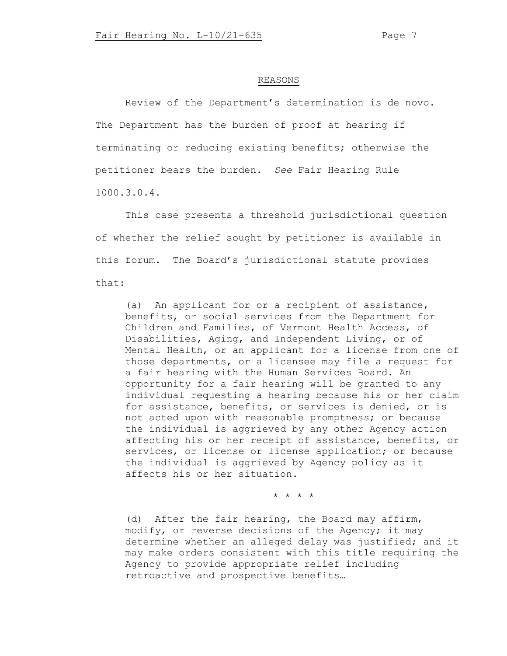#### REASONS

Review of the Department's determination is de novo. The Department has the burden of proof at hearing if terminating or reducing existing benefits; otherwise the petitioner bears the burden. *See* Fair Hearing Rule 1000.3.0.4.

This case presents a threshold jurisdictional question of whether the relief sought by petitioner is available in this forum. The Board's jurisdictional statute provides that:

(a) An applicant for or a recipient of assistance, benefits, or social services from the Department for Children and Families, of Vermont Health Access, of Disabilities, Aging, and Independent Living, or of Mental Health, or an applicant for a license from one of those departments, or a licensee may file a request for a fair hearing with the Human Services Board. An opportunity for a fair hearing will be granted to any individual requesting a hearing because his or her claim for assistance, benefits, or services is denied, or is not acted upon with reasonable promptness; or because the individual is aggrieved by any other Agency action affecting his or her receipt of assistance, benefits, or services, or license or license application; or because the individual is aggrieved by Agency policy as it affects his or her situation.

\* \* \* \*

(d) After the fair hearing, the Board may affirm, modify, or reverse decisions of the Agency; it may determine whether an alleged delay was justified; and it may make orders consistent with this title requiring the Agency to provide appropriate relief including retroactive and prospective benefits…